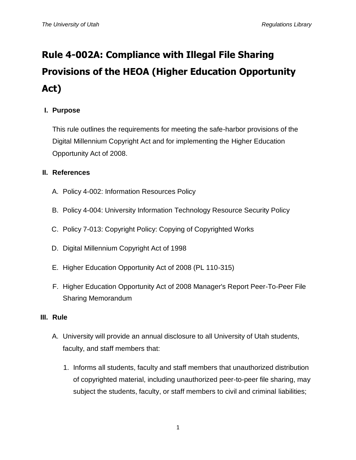# **Rule 4-002A: Compliance with Illegal File Sharing Provisions of the HEOA (Higher Education Opportunity Act)**

## **I. Purpose**

This rule outlines the requirements for meeting the safe-harbor provisions of the Digital Millennium Copyright Act and for implementing the Higher Education Opportunity Act of 2008.

### **II. References**

- A. Policy 4-002: Information Resources Policy
- B. Policy 4-004: University Information Technology Resource Security Policy
- C. Policy 7-013: Copyright Policy: Copying of Copyrighted Works
- D. Digital Millennium Copyright Act of 1998
- E. Higher Education Opportunity Act of 2008 (PL 110-315)
- F. Higher Education Opportunity Act of 2008 Manager's Report Peer-To-Peer File Sharing Memorandum

### **III. Rule**

- A. University will provide an annual disclosure to all University of Utah students, faculty, and staff members that:
	- 1. Informs all students, faculty and staff members that unauthorized distribution of copyrighted material, including unauthorized peer-to-peer file sharing, may subject the students, faculty, or staff members to civil and criminal liabilities;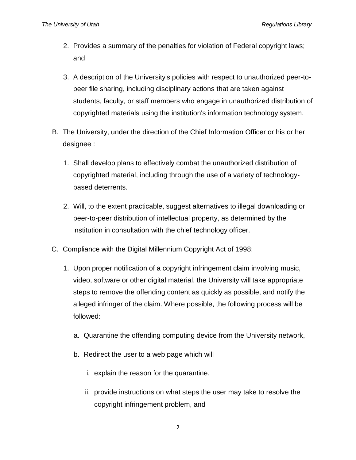- 2. Provides a summary of the penalties for violation of Federal copyright laws; and
- 3. A description of the University's policies with respect to unauthorized peer-topeer file sharing, including disciplinary actions that are taken against students, faculty, or staff members who engage in unauthorized distribution of copyrighted materials using the institution's information technology system.
- B. The University, under the direction of the Chief Information Officer or his or her designee :
	- 1. Shall develop plans to effectively combat the unauthorized distribution of copyrighted material, including through the use of a variety of technologybased deterrents.
	- 2. Will, to the extent practicable, suggest alternatives to illegal downloading or peer-to-peer distribution of intellectual property, as determined by the institution in consultation with the chief technology officer.
- C. Compliance with the Digital Millennium Copyright Act of 1998:
	- 1. Upon proper notification of a copyright infringement claim involving music, video, software or other digital material, the University will take appropriate steps to remove the offending content as quickly as possible, and notify the alleged infringer of the claim. Where possible, the following process will be followed:
		- a. Quarantine the offending computing device from the University network,
		- b. Redirect the user to a web page which will
			- i. explain the reason for the quarantine,
			- ii. provide instructions on what steps the user may take to resolve the copyright infringement problem, and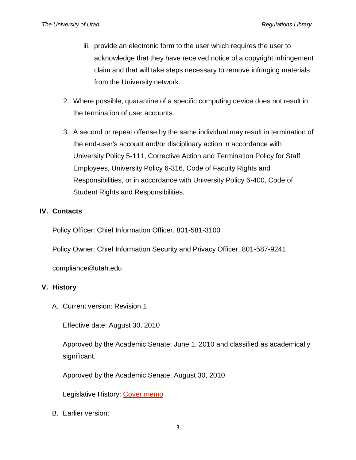- iii. provide an electronic form to the user which requires the user to acknowledge that they have received notice of a copyright infringement claim and that will take steps necessary to remove infringing materials from the University network.
- 2. Where possible, quarantine of a specific computing device does not result in the termination of user accounts.
- 3. A second or repeat offense by the same individual may result in termination of the end-user's account and/or disciplinary action in accordance with University Policy 5-111, Corrective Action and Termination Policy for Staff Employees, University Policy 6-316, Code of Faculty Rights and Responsibilities, or in accordance with University Policy 6-400, Code of Student Rights and Responsibilities.

#### **IV. Contacts**

Policy Officer: Chief Information Officer, 801-581-3100

Policy Owner: Chief Information Security and Privacy Officer, 801-587-9241

compliance@utah.edu

#### **V. History**

A. Current version: Revision 1

Effective date: August 30, 2010

Approved by the Academic Senate: June 1, 2010 and classified as academically significant.

Approved by the Academic Senate: August 30, 2010

Legislative History: [Cover memo](http://regulations.utah.edu/it/appendices_4/Rule4-002A_Rev1_memo.pdf)

B. Earlier version: